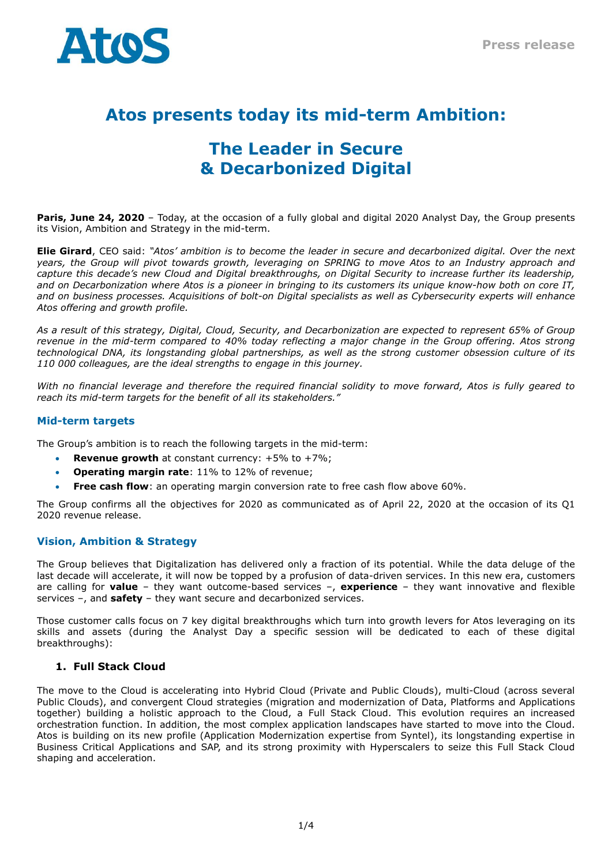

# **Atos presents today its mid-term Ambition:**

# **The Leader in Secure & Decarbonized Digital**

**Paris, June 24, 2020** – Today, at the occasion of a fully global and digital 2020 Analyst Day, the Group presents its Vision, Ambition and Strategy in the mid-term.

Elie Girard, CEO said: "Atos' ambition is to become the leader in secure and decarbonized digital. Over the next *years, the Group will pivot towards growth, leveraging on SPRING to move Atos to an Industry approach and* capture this decade's new Cloud and Digital breakthroughs, on Digital Security to increase further its leadership, and on Decarbonization where Atos is a pioneer in bringing to its customers its unique know-how both on core IT, and on business processes. Acquisitions of bolt-on Digital specialists as well as Cybersecurity experts will enhance *Atos offering and growth profile.*

As a result of this strategy, Digital, Cloud, Security, and Decarbonization are expected to represent 65% of Group revenue in the mid-term compared to 40% today reflecting a major change in the Group offering. Atos strong *technological DNA, its longstanding global partnerships, as well as the strong customer obsession culture of its 110 000 colleagues, are the ideal strengths to engage in this journey.*

*With no financial leverage and therefore the required financial solidity to move forward, Atos is fully geared to reach its mid-term targets for the benefit of all its stakeholders."*

## **Mid-term targets**

The Group's ambition is to reach the following targets in the mid-term:

- **Revenue growth** at constant currency: +5% to +7%;
- **Operating margin rate**: 11% to 12% of revenue;
- **Free cash flow**: an operating margin conversion rate to free cash flow above 60%.

The Group confirms all the objectives for 2020 as communicated as of April 22, 2020 at the occasion of its Q1 2020 revenue release.

#### **Vision, Ambition & Strategy**

The Group believes that Digitalization has delivered only a fraction of its potential. While the data deluge of the last decade will accelerate, it will now be topped by a profusion of data-driven services. In this new era, customers are calling for **value** – they want outcome-based services –, **experience** – they want innovative and flexible services –, and **safety** – they want secure and decarbonized services.

Those customer calls focus on 7 key digital breakthroughs which turn into growth levers for Atos leveraging on its skills and assets (during the Analyst Day a specific session will be dedicated to each of these digital breakthroughs):

#### **1. Full Stack Cloud**

The move to the Cloud is accelerating into Hybrid Cloud (Private and Public Clouds), multi-Cloud (across several Public Clouds), and convergent Cloud strategies (migration and modernization of Data, Platforms and Applications together) building a holistic approach to the Cloud, a Full Stack Cloud. This evolution requires an increased orchestration function. In addition, the most complex application landscapes have started to move into the Cloud. Atos is building on its new profile (Application Modernization expertise from Syntel), its longstanding expertise in Business Critical Applications and SAP, and its strong proximity with Hyperscalers to seize this Full Stack Cloud shaping and acceleration.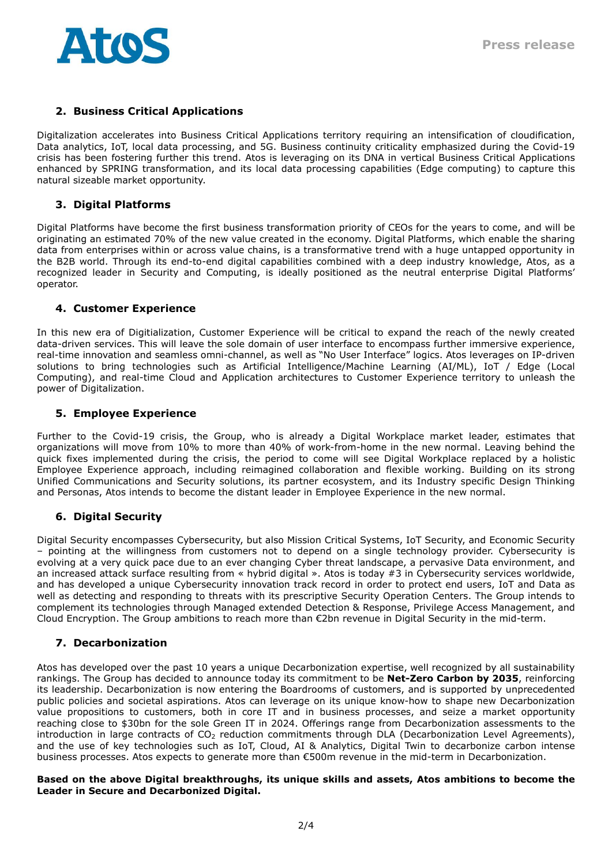

## **2. Business Critical Applications**

Digitalization accelerates into Business Critical Applications territory requiring an intensification of cloudification, Data analytics, IoT, local data processing, and 5G. Business continuity criticality emphasized during the Covid-19 crisis has been fostering further this trend. Atos is leveraging on its DNA in vertical Business Critical Applications enhanced by SPRING transformation, and its local data processing capabilities (Edge computing) to capture this natural sizeable market opportunity.

## **3. Digital Platforms**

Digital Platforms have become the first business transformation priority of CEOs for the years to come, and will be originating an estimated 70% of the new value created in the economy. Digital Platforms, which enable the sharing data from enterprises within or across value chains, is a transformative trend with a huge untapped opportunity in the B2B world. Through its end-to-end digital capabilities combined with a deep industry knowledge, Atos, as a recognized leader in Security and Computing, is ideally positioned as the neutral enterprise Digital Platforms' operator.

#### **4. Customer Experience**

In this new era of Digitialization, Customer Experience will be critical to expand the reach of the newly created data-driven services. This will leave the sole domain of user interface to encompass further immersive experience, real-time innovation and seamless omni-channel, as well as "No User Interface" logics. Atos leverages on IP-driven solutions to bring technologies such as Artificial Intelligence/Machine Learning (AI/ML), IoT / Edge (Local Computing), and real-time Cloud and Application architectures to Customer Experience territory to unleash the power of Digitalization.

## **5. Employee Experience**

Further to the Covid-19 crisis, the Group, who is already a Digital Workplace market leader, estimates that organizations will move from 10% to more than 40% of work-from-home in the new normal. Leaving behind the quick fixes implemented during the crisis, the period to come will see Digital Workplace replaced by a holistic Employee Experience approach, including reimagined collaboration and flexible working. Building on its strong Unified Communications and Security solutions, its partner ecosystem, and its Industry specific Design Thinking and Personas, Atos intends to become the distant leader in Employee Experience in the new normal.

## **6. Digital Security**

Digital Security encompasses Cybersecurity, but also Mission Critical Systems, IoT Security, and Economic Security – pointing at the willingness from customers not to depend on a single technology provider. Cybersecurity is evolving at a very quick pace due to an ever changing Cyber threat landscape, a pervasive Data environment, and an increased attack surface resulting from « hybrid digital ». Atos is today #3 in Cybersecurity services worldwide, and has developed a unique Cybersecurity innovation track record in order to protect end users, IoT and Data as well as detecting and responding to threats with its prescriptive Security Operation Centers. The Group intends to complement its technologies through Managed extended Detection & Response, Privilege Access Management, and Cloud Encryption. The Group ambitions to reach more than €2bn revenue in Digital Security in the mid-term.

## **7. Decarbonization**

Atos has developed over the past 10 years a unique Decarbonization expertise, well recognized by all sustainability rankings. The Group has decided to announce today its commitment to be **Net-Zero Carbon by 2035**, reinforcing its leadership. Decarbonization is now entering the Boardrooms of customers, and is supported by unprecedented public policies and societal aspirations. Atos can leverage on its unique know-how to shape new Decarbonization value propositions to customers, both in core IT and in business processes, and seize a market opportunity reaching close to \$30bn for the sole Green IT in 2024. Offerings range from Decarbonization assessments to the introduction in large contracts of CO<sub>2</sub> reduction commitments through DLA (Decarbonization Level Agreements), and the use of key technologies such as IoT, Cloud, AI & Analytics, Digital Twin to decarbonize carbon intense business processes. Atos expects to generate more than €500m revenue in the mid-term in Decarbonization.

#### **Based on the above Digital breakthroughs, its unique skills and assets, Atos ambitions to become the Leader in Secure and Decarbonized Digital.**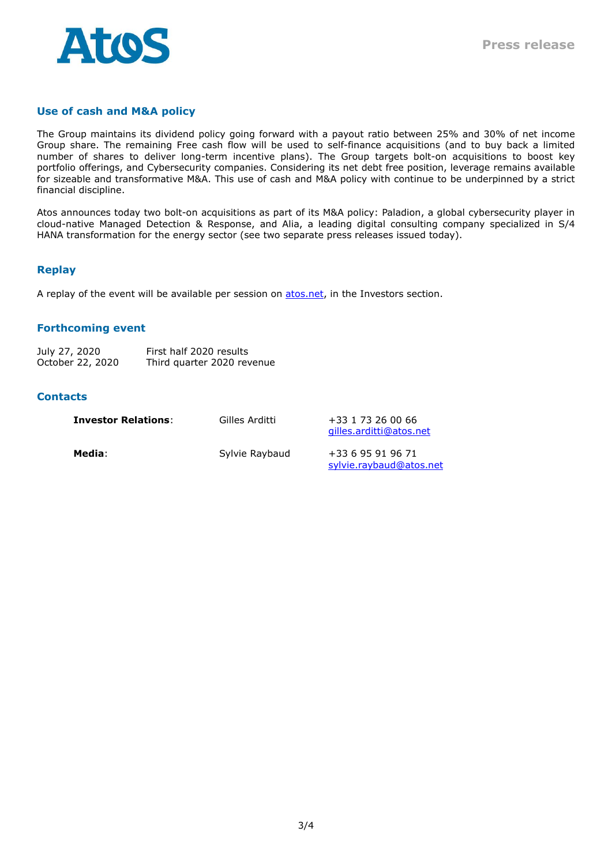

## **Use of cash and M&A policy**

The Group maintains its dividend policy going forward with a payout ratio between 25% and 30% of net income Group share. The remaining Free cash flow will be used to self-finance acquisitions (and to buy back a limited number of shares to deliver long-term incentive plans). The Group targets bolt-on acquisitions to boost key portfolio offerings, and Cybersecurity companies. Considering its net debt free position, leverage remains available for sizeable and transformative M&A. This use of cash and M&A policy with continue to be underpinned by a strict financial discipline.

Atos announces today two bolt-on acquisitions as part of its M&A policy: Paladion, a global cybersecurity player in cloud-native Managed Detection & Response, and Alia, a leading digital consulting company specialized in S/4 HANA transformation for the energy sector (see two separate press releases issued today).

#### **Replay**

A replay of the event will be available per session on [atos.net,](http://www.atos.net/) in the Investors section.

#### **Forthcoming event**

| July 27, 2020    | First half 2020 results    |
|------------------|----------------------------|
| October 22, 2020 | Third quarter 2020 revenue |

#### **Contacts**

| <b>Investor Relations:</b> | Gilles Arditti | +33 1 73 26 00 66<br>gilles.arditti@atos.net |
|----------------------------|----------------|----------------------------------------------|
| Media:                     | Sylvie Raybaud | +33 6 95 91 96 71<br>sylvie.raybaud@atos.net |